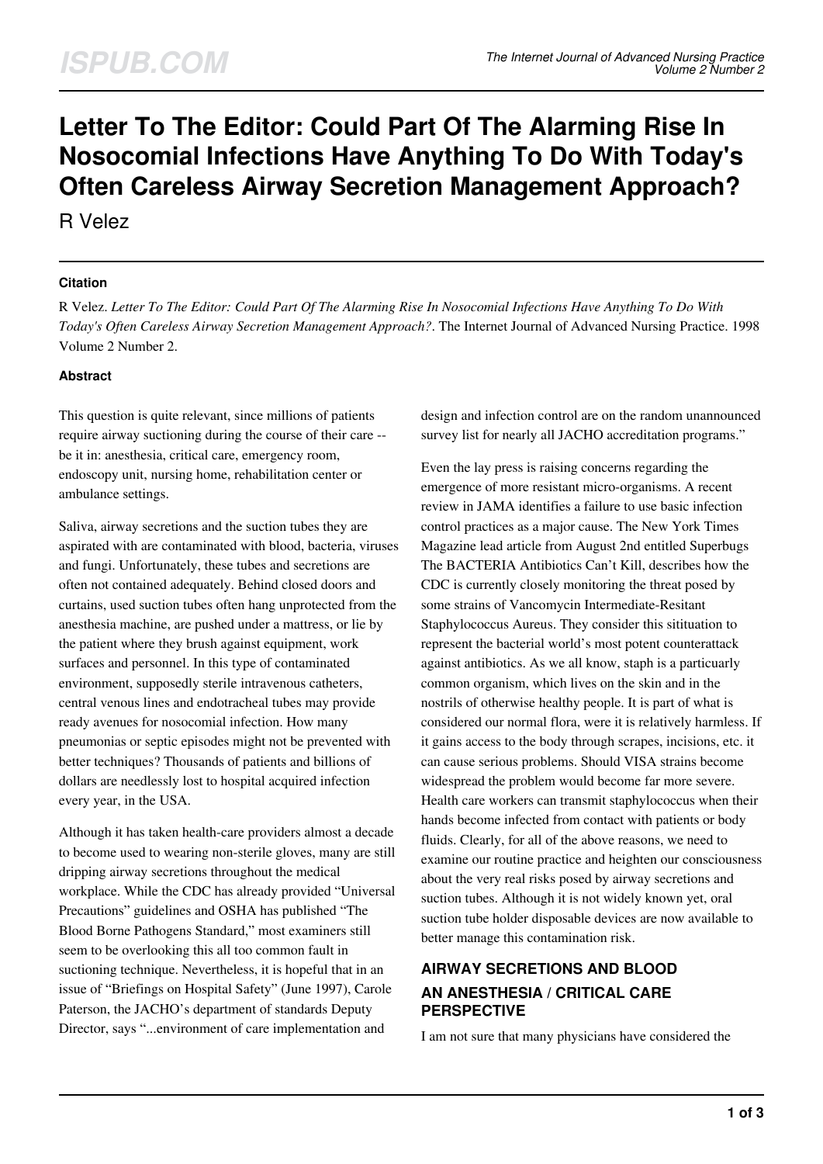# **Letter To The Editor: Could Part Of The Alarming Rise In Nosocomial Infections Have Anything To Do With Today's Often Careless Airway Secretion Management Approach?**

R Velez

## **Citation**

R Velez. *Letter To The Editor: Could Part Of The Alarming Rise In Nosocomial Infections Have Anything To Do With Today's Often Careless Airway Secretion Management Approach?*. The Internet Journal of Advanced Nursing Practice. 1998 Volume 2 Number 2.

## **Abstract**

This question is quite relevant, since millions of patients require airway suctioning during the course of their care - be it in: anesthesia, critical care, emergency room, endoscopy unit, nursing home, rehabilitation center or ambulance settings.

Saliva, airway secretions and the suction tubes they are aspirated with are contaminated with blood, bacteria, viruses and fungi. Unfortunately, these tubes and secretions are often not contained adequately. Behind closed doors and curtains, used suction tubes often hang unprotected from the anesthesia machine, are pushed under a mattress, or lie by the patient where they brush against equipment, work surfaces and personnel. In this type of contaminated environment, supposedly sterile intravenous catheters, central venous lines and endotracheal tubes may provide ready avenues for nosocomial infection. How many pneumonias or septic episodes might not be prevented with better techniques? Thousands of patients and billions of dollars are needlessly lost to hospital acquired infection every year, in the USA.

Although it has taken health-care providers almost a decade to become used to wearing non-sterile gloves, many are still dripping airway secretions throughout the medical workplace. While the CDC has already provided "Universal Precautions" guidelines and OSHA has published "The Blood Borne Pathogens Standard," most examiners still seem to be overlooking this all too common fault in suctioning technique. Nevertheless, it is hopeful that in an issue of "Briefings on Hospital Safety" (June 1997), Carole Paterson, the JACHO's department of standards Deputy Director, says "...environment of care implementation and

design and infection control are on the random unannounced survey list for nearly all JACHO accreditation programs."

Even the lay press is raising concerns regarding the emergence of more resistant micro-organisms. A recent review in JAMA identifies a failure to use basic infection control practices as a major cause. The New York Times Magazine lead article from August 2nd entitled Superbugs The BACTERIA Antibiotics Can't Kill, describes how the CDC is currently closely monitoring the threat posed by some strains of Vancomycin Intermediate-Resitant Staphylococcus Aureus. They consider this sitituation to represent the bacterial world's most potent counterattack against antibiotics. As we all know, staph is a particuarly common organism, which lives on the skin and in the nostrils of otherwise healthy people. It is part of what is considered our normal flora, were it is relatively harmless. If it gains access to the body through scrapes, incisions, etc. it can cause serious problems. Should VISA strains become widespread the problem would become far more severe. Health care workers can transmit staphylococcus when their hands become infected from contact with patients or body fluids. Clearly, for all of the above reasons, we need to examine our routine practice and heighten our consciousness about the very real risks posed by airway secretions and suction tubes. Although it is not widely known yet, oral suction tube holder disposable devices are now available to better manage this contamination risk.

## **AIRWAY SECRETIONS AND BLOOD AN ANESTHESIA / CRITICAL CARE PERSPECTIVE**

I am not sure that many physicians have considered the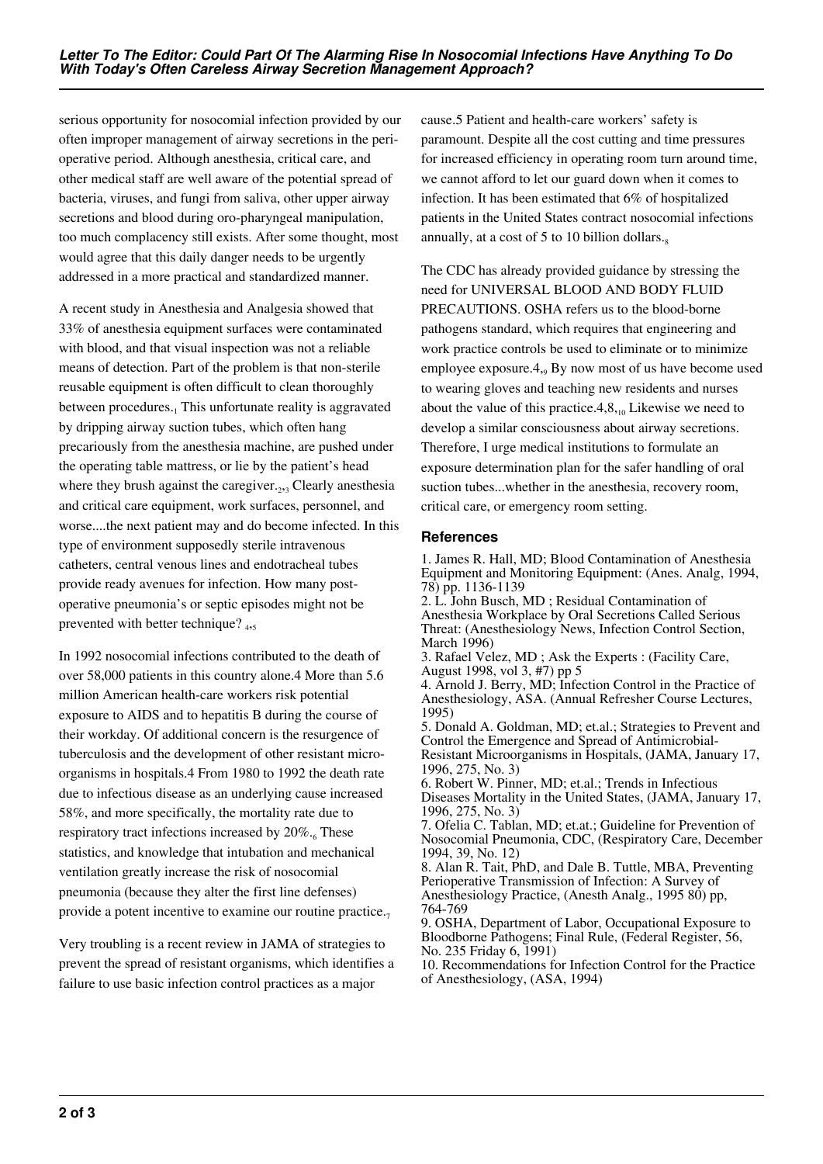serious opportunity for nosocomial infection provided by our often improper management of airway secretions in the perioperative period. Although anesthesia, critical care, and other medical staff are well aware of the potential spread of bacteria, viruses, and fungi from saliva, other upper airway secretions and blood during oro-pharyngeal manipulation, too much complacency still exists. After some thought, most would agree that this daily danger needs to be urgently addressed in a more practical and standardized manner.

A recent study in Anesthesia and Analgesia showed that 33% of anesthesia equipment surfaces were contaminated with blood, and that visual inspection was not a reliable means of detection. Part of the problem is that non-sterile reusable equipment is often difficult to clean thoroughly between procedures.<sub>1</sub> This unfortunate reality is aggravated by dripping airway suction tubes, which often hang precariously from the anesthesia machine, are pushed under the operating table mattress, or lie by the patient's head where they brush against the caregiver. $_{2,3}$  Clearly anesthesia and critical care equipment, work surfaces, personnel, and worse....the next patient may and do become infected. In this type of environment supposedly sterile intravenous catheters, central venous lines and endotracheal tubes provide ready avenues for infection. How many postoperative pneumonia's or septic episodes might not be prevented with better technique? <sub>4,5</sub>

In 1992 nosocomial infections contributed to the death of over 58,000 patients in this country alone.4 More than 5.6 million American health-care workers risk potential exposure to AIDS and to hepatitis B during the course of their workday. Of additional concern is the resurgence of tuberculosis and the development of other resistant microorganisms in hospitals.4 From 1980 to 1992 the death rate due to infectious disease as an underlying cause increased 58%, and more specifically, the mortality rate due to respiratory tract infections increased by 20%.<sub>6</sub> These statistics, and knowledge that intubation and mechanical ventilation greatly increase the risk of nosocomial pneumonia (because they alter the first line defenses) provide a potent incentive to examine our routine practice. $<sub>7</sub>$ </sub>

Very troubling is a recent review in JAMA of strategies to prevent the spread of resistant organisms, which identifies a failure to use basic infection control practices as a major

cause.5 Patient and health-care workers' safety is paramount. Despite all the cost cutting and time pressures for increased efficiency in operating room turn around time, we cannot afford to let our guard down when it comes to infection. It has been estimated that 6% of hospitalized patients in the United States contract nosocomial infections annually, at a cost of 5 to 10 billion dollars. $_8$ 

The CDC has already provided guidance by stressing the need for UNIVERSAL BLOOD AND BODY FLUID PRECAUTIONS. OSHA refers us to the blood-borne pathogens standard, which requires that engineering and work practice controls be used to eliminate or to minimize employee exposure.4, By now most of us have become used to wearing gloves and teaching new residents and nurses about the value of this practice.4, $8_{10}$  Likewise we need to develop a similar consciousness about airway secretions. Therefore, I urge medical institutions to formulate an exposure determination plan for the safer handling of oral suction tubes...whether in the anesthesia, recovery room, critical care, or emergency room setting.

#### **References**

1. James R. Hall, MD; Blood Contamination of Anesthesia Equipment and Monitoring Equipment: (Anes. Analg, 1994, 78) pp. 1136-1139

2. L. John Busch, MD ; Residual Contamination of Anesthesia Workplace by Oral Secretions Called Serious Threat: (Anesthesiology News, Infection Control Section, March 1996)

3. Rafael Velez, MD ; Ask the Experts : (Facility Care, August 1998, vol 3, #7) pp 5

4. Arnold J. Berry, MD; Infection Control in the Practice of Anesthesiology, ASA. (Annual Refresher Course Lectures, 1995)

5. Donald A. Goldman, MD; et.al.; Strategies to Prevent and Control the Emergence and Spread of Antimicrobial-Resistant Microorganisms in Hospitals, (JAMA, January 17,

1996, 275, No. 3) 6. Robert W. Pinner, MD; et.al.; Trends in Infectious

Diseases Mortality in the United States, (JAMA, January 17, 1996, 275, No. 3)

7. Ofelia C. Tablan, MD; et.at.; Guideline for Prevention of Nosocomial Pneumonia, CDC, (Respiratory Care, December 1994, 39, No. 12)

8. Alan R. Tait, PhD, and Dale B. Tuttle, MBA, Preventing Perioperative Transmission of Infection: A Survey of Anesthesiology Practice, (Anesth Analg., 1995 80) pp, 764-769

9. OSHA, Department of Labor, Occupational Exposure to Bloodborne Pathogens; Final Rule, (Federal Register, 56, No. 235 Friday 6, 1991)

10. Recommendations for Infection Control for the Practice of Anesthesiology, (ASA, 1994)